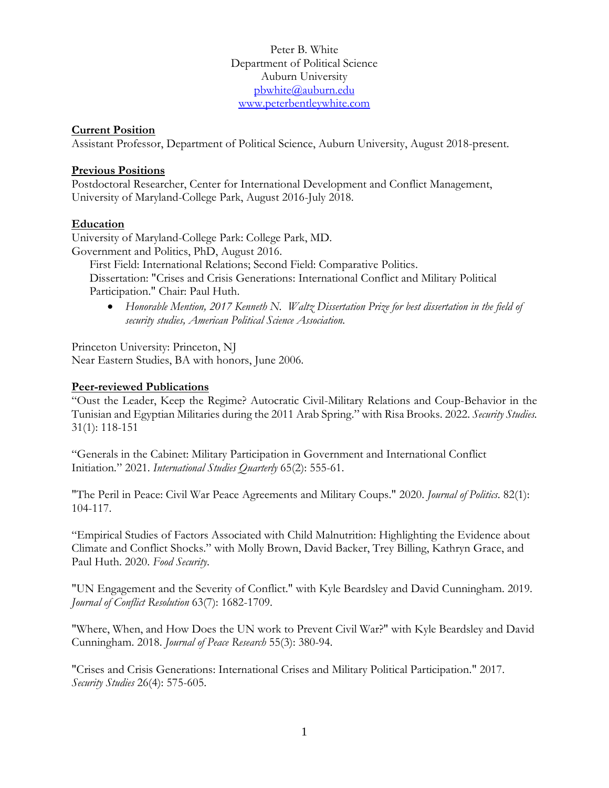Peter B. White Department of Political Science Auburn University [pbwhite@auburn.edu](mailto:pbwhite@auburn.edu) [www.peterbentleywhite.com](http://www.peterbentleywhite.com/)

#### **Current Position**

Assistant Professor, Department of Political Science, Auburn University, August 2018-present.

#### **Previous Positions**

Postdoctoral Researcher, Center for International Development and Conflict Management, University of Maryland-College Park, August 2016-July 2018.

#### **Education**

University of Maryland-College Park: College Park, MD.

Government and Politics, PhD, August 2016.

First Field: International Relations; Second Field: Comparative Politics.

Dissertation: "Crises and Crisis Generations: International Conflict and Military Political Participation." Chair: Paul Huth.

• *Honorable Mention, 2017 Kenneth N. Waltz Dissertation Prize for best dissertation in the field of security studies, American Political Science Association.* 

Princeton University: Princeton, NJ Near Eastern Studies, BA with honors, June 2006.

#### **Peer-reviewed Publications**

"Oust the Leader, Keep the Regime? Autocratic Civil-Military Relations and Coup-Behavior in the Tunisian and Egyptian Militaries during the 2011 Arab Spring." with Risa Brooks. 2022. *Security Studies.*  31(1): 118-151

"Generals in the Cabinet: Military Participation in Government and International Conflict Initiation*.*" 2021. *International Studies Quarterly* 65(2): 555-61.

"The Peril in Peace: Civil War Peace Agreements and Military Coups." 2020. *Journal of Politics*. 82(1): 104-117.

"Empirical Studies of Factors Associated with Child Malnutrition: Highlighting the Evidence about Climate and Conflict Shocks." with Molly Brown, David Backer, Trey Billing, Kathryn Grace, and Paul Huth. 2020. *Food Security*.

"UN Engagement and the Severity of Conflict." with Kyle Beardsley and David Cunningham. 2019. *Journal of Conflict Resolution* 63(7): 1682-1709.

"Where, When, and How Does the UN work to Prevent Civil War?" with Kyle Beardsley and David Cunningham. 2018. *Journal of Peace Research* 55(3): 380-94.

"Crises and Crisis Generations: International Crises and Military Political Participation." 2017. *Security Studies* 26(4): 575-605.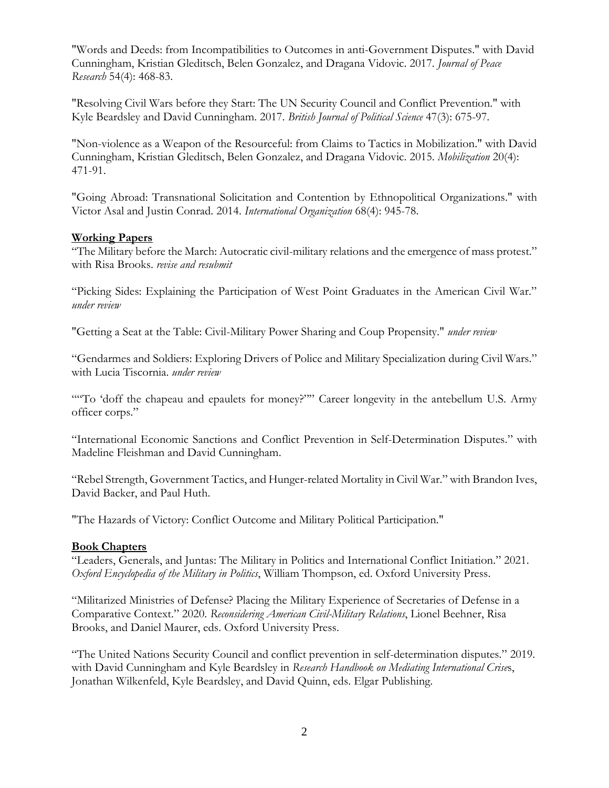"Words and Deeds: from Incompatibilities to Outcomes in anti-Government Disputes." with David Cunningham, Kristian Gleditsch, Belen Gonzalez, and Dragana Vidovic. 2017. *Journal of Peace Research* 54(4): 468-83.

"Resolving Civil Wars before they Start: The UN Security Council and Conflict Prevention." with Kyle Beardsley and David Cunningham. 2017. *British Journal of Political Science* 47(3): 675-97.

"Non-violence as a Weapon of the Resourceful: from Claims to Tactics in Mobilization." with David Cunningham, Kristian Gleditsch, Belen Gonzalez, and Dragana Vidovic. 2015. *Mobilization* 20(4): 471-91.

"Going Abroad: Transnational Solicitation and Contention by Ethnopolitical Organizations." with Victor Asal and Justin Conrad. 2014. *International Organization* 68(4): 945-78.

### **Working Papers**

"The Military before the March: Autocratic civil-military relations and the emergence of mass protest." with Risa Brooks. *revise and resubmit*

"Picking Sides: Explaining the Participation of West Point Graduates in the American Civil War." *under review*

"Getting a Seat at the Table: Civil-Military Power Sharing and Coup Propensity." *under review*

"Gendarmes and Soldiers: Exploring Drivers of Police and Military Specialization during Civil Wars." with Lucia Tiscornia. *under review*

""To 'doff the chapeau and epaulets for money?"" Career longevity in the antebellum U.S. Army officer corps."

"International Economic Sanctions and Conflict Prevention in Self-Determination Disputes." with Madeline Fleishman and David Cunningham.

"Rebel Strength, Government Tactics, and Hunger-related Mortality in Civil War." with Brandon Ives, David Backer, and Paul Huth.

"The Hazards of Victory: Conflict Outcome and Military Political Participation."

### **Book Chapters**

"Leaders, Generals, and Juntas: The Military in Politics and International Conflict Initiation." 2021. *Oxford Encyclopedia of the Military in Politics*, William Thompson, ed. Oxford University Press.

"Militarized Ministries of Defense? Placing the Military Experience of Secretaries of Defense in a Comparative Context." 2020. *Reconsidering American Civil-Military Relations*, Lionel Beehner, Risa Brooks, and Daniel Maurer, eds. Oxford University Press.

"The United Nations Security Council and conflict prevention in self-determination disputes." 2019. with David Cunningham and Kyle Beardsley in *Research Handbook on Mediating International Crise*s, Jonathan Wilkenfeld, Kyle Beardsley, and David Quinn, eds. Elgar Publishing.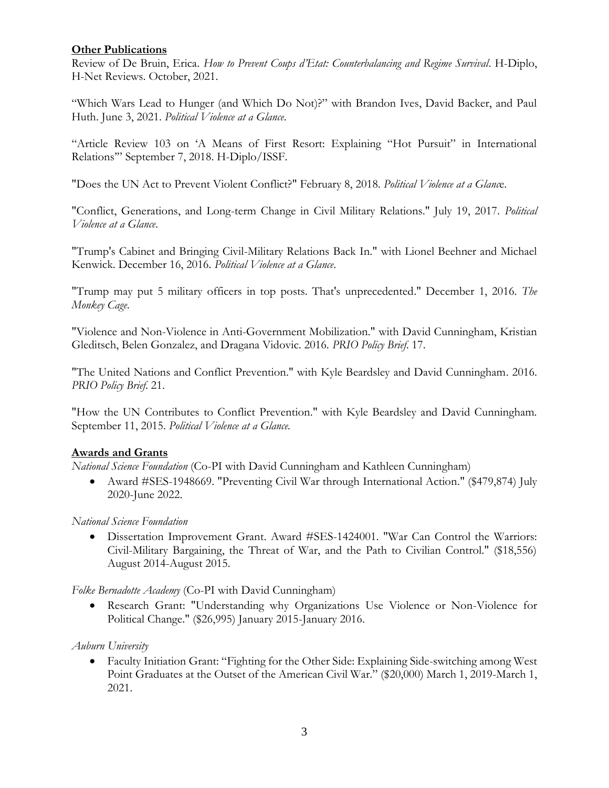## **Other Publications**

Review of De Bruin, Erica. *How to Prevent Coups d'Etat: Counterbalancing and Regime Survival*. H-Diplo, H-Net Reviews. October, 2021.

"Which Wars Lead to Hunger (and Which Do Not)?" with Brandon Ives, David Backer, and Paul Huth. June 3, 2021. *Political Violence at a Glance*.

"Article Review 103 on 'A Means of First Resort: Explaining "Hot Pursuit" in International Relations'" September 7, 2018. H-Diplo/ISSF.

"Does the UN Act to Prevent Violent Conflict?" February 8, 2018. *Political Violence at a Glanc*e.

"Conflict, Generations, and Long-term Change in Civil Military Relations." July 19, 2017. *Political Violence at a Glance*.

"Trump's Cabinet and Bringing Civil-Military Relations Back In." with Lionel Beehner and Michael Kenwick. December 16, 2016. *Political Violence at a Glance*.

"Trump may put 5 military officers in top posts. That's unprecedented." December 1, 2016. *The Monkey Cage*.

"Violence and Non-Violence in Anti-Government Mobilization." with David Cunningham, Kristian Gleditsch, Belen Gonzalez, and Dragana Vidovic. 2016. *PRIO Policy Brief*. 17.

"The United Nations and Conflict Prevention." with Kyle Beardsley and David Cunningham. 2016. *PRIO Policy Brief*. 21.

"How the UN Contributes to Conflict Prevention." with Kyle Beardsley and David Cunningham. September 11, 2015. *Political Violence at a Glance.*

### **Awards and Grants**

*National Science Foundation* (Co-PI with David Cunningham and Kathleen Cunningham)

• Award #SES-1948669. "Preventing Civil War through International Action." (\$479,874) July 2020-June 2022.

### *National Science Foundation*

• Dissertation Improvement Grant. Award #SES-1424001. "War Can Control the Warriors: Civil-Military Bargaining, the Threat of War, and the Path to Civilian Control." (\$18,556) August 2014-August 2015.

*Folke Bernadotte Academy* (Co-PI with David Cunningham)

• Research Grant: "Understanding why Organizations Use Violence or Non-Violence for Political Change." (\$26,995) January 2015-January 2016.

*Auburn University*

• Faculty Initiation Grant: "Fighting for the Other Side: Explaining Side-switching among West Point Graduates at the Outset of the American Civil War." (\$20,000) March 1, 2019-March 1, 2021.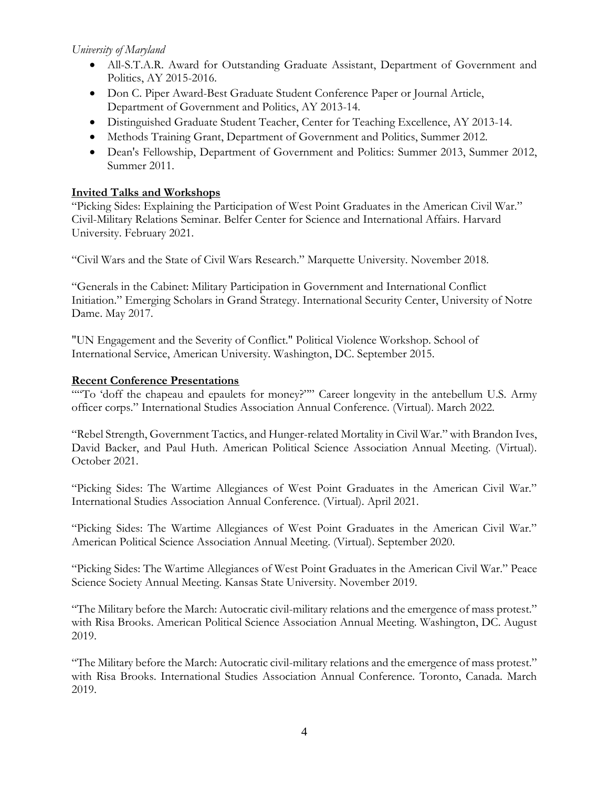# *University of Maryland*

- All-S.T.A.R. Award for Outstanding Graduate Assistant, Department of Government and Politics, AY 2015-2016.
- Don C. Piper Award-Best Graduate Student Conference Paper or Journal Article, Department of Government and Politics, AY 2013-14.
- Distinguished Graduate Student Teacher, Center for Teaching Excellence, AY 2013-14.
- Methods Training Grant, Department of Government and Politics, Summer 2012.
- Dean's Fellowship, Department of Government and Politics: Summer 2013, Summer 2012, Summer 2011.

# **Invited Talks and Workshops**

"Picking Sides: Explaining the Participation of West Point Graduates in the American Civil War." Civil-Military Relations Seminar. Belfer Center for Science and International Affairs. Harvard University. February 2021.

"Civil Wars and the State of Civil Wars Research." Marquette University. November 2018.

"Generals in the Cabinet: Military Participation in Government and International Conflict Initiation." Emerging Scholars in Grand Strategy. International Security Center, University of Notre Dame. May 2017.

"UN Engagement and the Severity of Conflict." Political Violence Workshop. School of International Service, American University. Washington, DC. September 2015.

## **Recent Conference Presentations**

""To 'doff the chapeau and epaulets for money?"" Career longevity in the antebellum U.S. Army officer corps." International Studies Association Annual Conference. (Virtual). March 2022.

"Rebel Strength, Government Tactics, and Hunger-related Mortality in Civil War." with Brandon Ives, David Backer, and Paul Huth. American Political Science Association Annual Meeting. (Virtual). October 2021.

"Picking Sides: The Wartime Allegiances of West Point Graduates in the American Civil War." International Studies Association Annual Conference. (Virtual). April 2021.

"Picking Sides: The Wartime Allegiances of West Point Graduates in the American Civil War." American Political Science Association Annual Meeting. (Virtual). September 2020.

"Picking Sides: The Wartime Allegiances of West Point Graduates in the American Civil War." Peace Science Society Annual Meeting. Kansas State University. November 2019.

"The Military before the March: Autocratic civil-military relations and the emergence of mass protest." with Risa Brooks. American Political Science Association Annual Meeting. Washington, DC. August 2019.

"The Military before the March: Autocratic civil-military relations and the emergence of mass protest." with Risa Brooks. International Studies Association Annual Conference. Toronto, Canada. March 2019.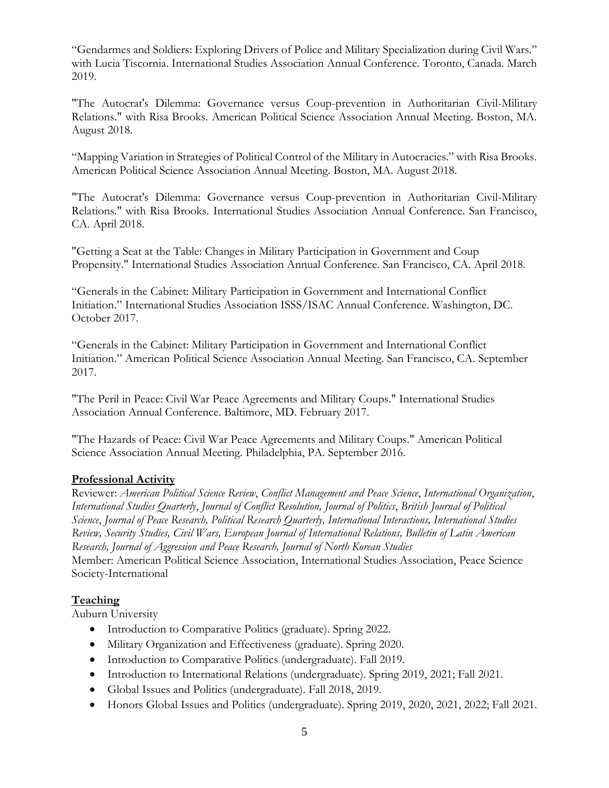"Gendarmes and Soldiers: Exploring Drivers of Police and Military Specialization during Civil Wars." with Lucia Tiscornia. International Studies Association Annual Conference. Toronto, Canada. March 2019.

"The Autocrat's Dilemma: Governance versus Coup-prevention in Authoritarian Civil-Military Relations." with Risa Brooks. American Political Science Association Annual Meeting. Boston, MA. August 2018.

"Mapping Variation in Strategies of Political Control of the Military in Autocracies." with Risa Brooks. American Political Science Association Annual Meeting. Boston, MA. August 2018.

"The Autocrat's Dilemma: Governance versus Coup-prevention in Authoritarian Civil-Military Relations." with Risa Brooks. International Studies Association Annual Conference. San Francisco, CA. April 2018.

"Getting a Seat at the Table: Changes in Military Participation in Government and Coup Propensity." International Studies Association Annual Conference. San Francisco, CA. April 2018.

"Generals in the Cabinet: Military Participation in Government and International Conflict Initiation." International Studies Association ISSS/ISAC Annual Conference. Washington, DC. October 2017.

"Generals in the Cabinet: Military Participation in Government and International Conflict Initiation." American Political Science Association Annual Meeting. San Francisco, CA. September 2017.

"The Peril in Peace: Civil War Peace Agreements and Military Coups." International Studies Association Annual Conference. Baltimore, MD. February 2017.

"The Hazards of Peace: Civil War Peace Agreements and Military Coups." American Political Science Association Annual Meeting. Philadelphia, PA. September 2016.

# **Professional Activity**

Reviewer: *American Political Science Review*, *Conflict Management and Peace Science*, *International Organization*, *International Studies Quarterly*, *Journal of Conflict Resolution, Journal of Politics*, *British Journal of Political Science*, *Journal of Peace Research, Political Research Quarterly, International Interactions, International Studies Review, Security Studies, Civil Wars, European Journal of International Relations, Bulletin of Latin American Research, Journal of Aggression and Peace Research, Journal of North Korean Studies* Member: American Political Science Association, International Studies Association, Peace Science Society-International

# **Teaching**

Auburn University

- Introduction to Comparative Politics (graduate). Spring 2022.
- Military Organization and Effectiveness (graduate). Spring 2020.
- Introduction to Comparative Politics (undergraduate). Fall 2019.
- Introduction to International Relations (undergraduate). Spring 2019, 2021; Fall 2021.
- Global Issues and Politics (undergraduate). Fall 2018, 2019.
- Honors Global Issues and Politics (undergraduate). Spring 2019, 2020, 2021, 2022; Fall 2021.